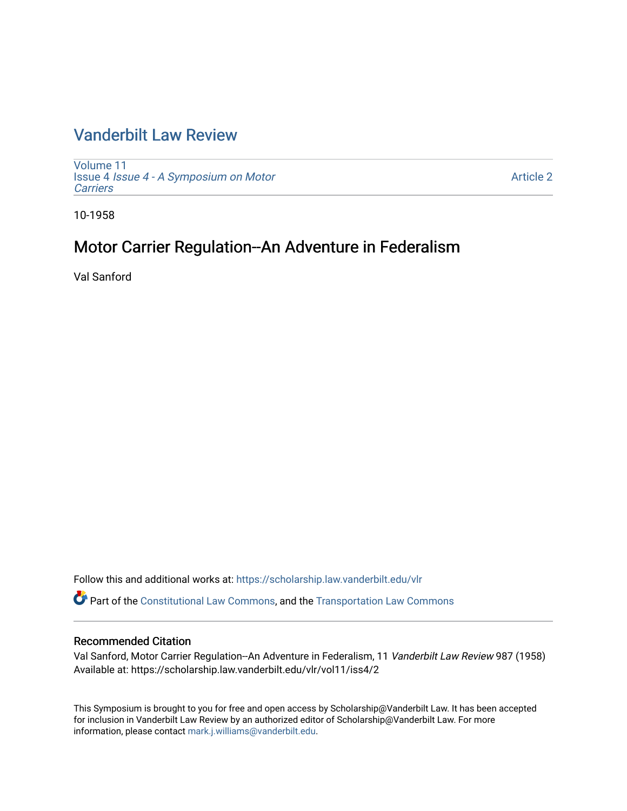# [Vanderbilt Law Review](https://scholarship.law.vanderbilt.edu/vlr)

[Volume 11](https://scholarship.law.vanderbilt.edu/vlr/vol11) Issue 4 [Issue 4 - A Symposium on Motor](https://scholarship.law.vanderbilt.edu/vlr/vol11/iss4) **[Carriers](https://scholarship.law.vanderbilt.edu/vlr/vol11/iss4)** 

[Article 2](https://scholarship.law.vanderbilt.edu/vlr/vol11/iss4/2) 

10-1958

# Motor Carrier Regulation--An Adventure in Federalism

Val Sanford

Follow this and additional works at: [https://scholarship.law.vanderbilt.edu/vlr](https://scholarship.law.vanderbilt.edu/vlr?utm_source=scholarship.law.vanderbilt.edu%2Fvlr%2Fvol11%2Fiss4%2F2&utm_medium=PDF&utm_campaign=PDFCoverPages)

Part of the [Constitutional Law Commons,](http://network.bepress.com/hgg/discipline/589?utm_source=scholarship.law.vanderbilt.edu%2Fvlr%2Fvol11%2Fiss4%2F2&utm_medium=PDF&utm_campaign=PDFCoverPages) and the [Transportation Law Commons](http://network.bepress.com/hgg/discipline/885?utm_source=scholarship.law.vanderbilt.edu%2Fvlr%2Fvol11%2Fiss4%2F2&utm_medium=PDF&utm_campaign=PDFCoverPages) 

## Recommended Citation

Val Sanford, Motor Carrier Regulation--An Adventure in Federalism, 11 Vanderbilt Law Review 987 (1958) Available at: https://scholarship.law.vanderbilt.edu/vlr/vol11/iss4/2

This Symposium is brought to you for free and open access by Scholarship@Vanderbilt Law. It has been accepted for inclusion in Vanderbilt Law Review by an authorized editor of Scholarship@Vanderbilt Law. For more information, please contact [mark.j.williams@vanderbilt.edu](mailto:mark.j.williams@vanderbilt.edu).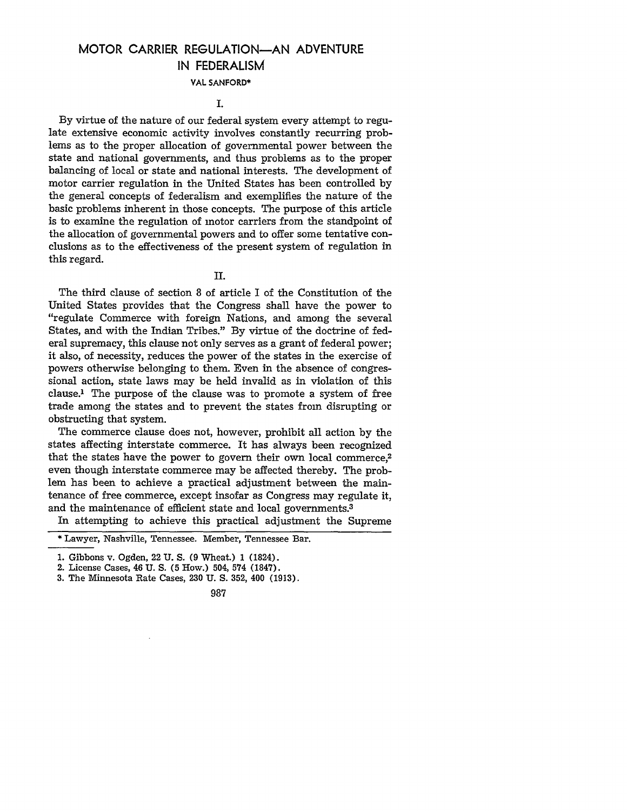# MOTOR CARRIER REGULATION-AN ADVENTURE IN FEDERALISM

#### **VAL SANFORD\***

#### I.

By virtue of the nature of our federal system every attempt to regulate extensive economic activity involves constantly recurring problems as to the proper allocation of governmental power between the state and national governments, and thus problems as to the proper balancing of local or state and national interests. The development of motor carrier regulation in the United States has been controlled by the general concepts of federalism and exemplifies the nature of the basic problems inherent in those concepts. The purpose of this article is to examine the regulation of motor carriers from the standpoint of the allocation of governmental powers and to offer some tentative conclusions as to the effectiveness of the present system of regulation in this regard.

II.

The third clause of section 8 of article I of the Constitution of the United States provides that the Congress shall have the power to "regulate Commerce with foreign Nations, and among the several States, and with the Indian Tribes." By virtue of the doctrine of federal supremacy, this clause not only serves as a grant of federal power; it also, of necessity, reduces the power of the states in the exercise of powers otherwise belonging to them. Even in the absence of congressional action, state laws may be held invalid as in violation of this clause.' The purpose of the clause was to promote a system of free trade among the states and to prevent the states from disrupting or obstructing that system.

The commerce clause does not, however, prohibit all action by the states affecting interstate commerce. It has always been recognized that the states have the power to govern their own local commerce,2 even though interstate commerce may be affected thereby. The problem has been to achieve a practical adjustment between the maintenance of free commerce, except insofar as Congress may regulate it, and the maintenance of efficient state and local governments.3

In attempting to achieve this practical adjustment the Supreme

3. The Minnesota Rate Cases, 230 U. S. 352, 400 (1913).

#### 987

<sup>\*</sup> Lawyer, Nashville, Tennessee. Member, Tennessee Bar.

**<sup>1.</sup>** Gibbons v. Ogden, 22 U. S. (9 Wheat.) **1** (1824).

<sup>2.</sup> License Cases, 46 U. S. (5 How.) 504, 574 (1847).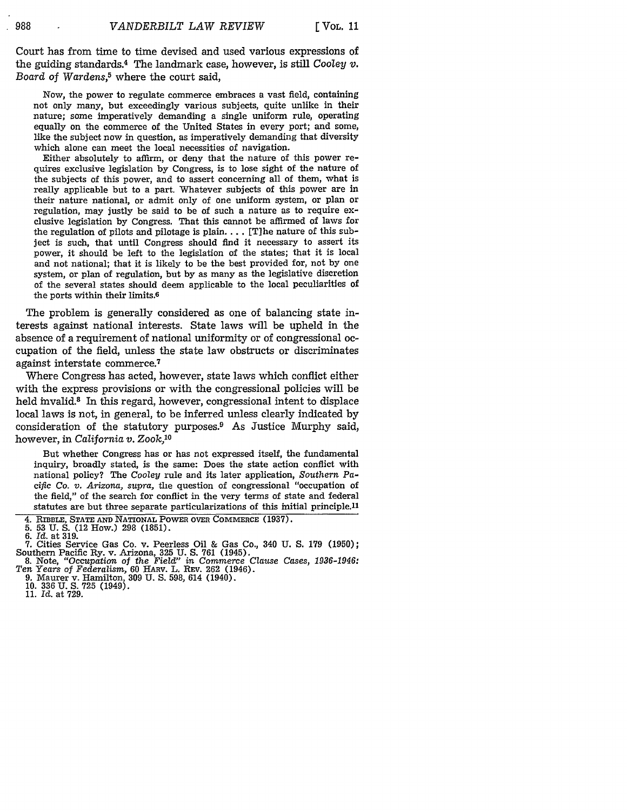Court has from time to time devised and used various expressions of the guiding standards.4 The landmark case, however, is still *Cooley v. Board of Wardens,5* where the court said,

Now, the power to regulate commerce embraces a vast field, containing not only many, but exceedingly various subjects, quite unlike in their nature; some imperatively demanding a single uniform rule, operating equally on the commerce of the United States in every port; and some, like the subject now in question, as imperatively demanding that diversity which alone can meet the local necessities of navigation.

Either absolutely to affirm, or deny that the nature of this power requires exclusive legislation by Congress, is to lose sight of the nature of the subjects of this power, and to assert concerning all of them, what is really applicable but to a part. Whatever subjects of this power are in their nature national, or admit only of one uniform system, or plan or regulation, may justly be said to be of such a nature as to require exclusive legislation by Congress. That this cannot be affirmed of laws for the regulation of pilots and pilotage is plain **....** [T]he nature of this subject is such, that until Congress should find it necessary to assert its power, it should be left to the legislation of the states; that it is local and not national; that it is likely to be the best provided for, not by one system, or plan of regulation, but by as many as the legislative discretion of the several states should deem applicable to the local peculiarities of the ports within their limits. <sup>6</sup>

The problem is generally considered as one of balancing state interests against national interests. State laws will be upheld in the absence of a requirement of national uniformity or of congressional occupation of the field, unless the state law obstructs or discriminates against interstate commerce.7

Where Congress has acted, however, state laws which conflict either with the express provisions or with the congressional policies will be held invalid.<sup>8</sup> In this regard, however, congressional intent to displace local laws is not, in general, to be inferred unless clearly indicated **by** consideration of the statutory purposes.<sup>9</sup> As Justice Murphy said, however, in *California v. Zook,10*

But whether Congress has or has not expressed itself, the fundamental inquiry, broadly stated, is the same: Does the state action conflict with national policy? The Cooley rule and its later application, *Southern Pacific Co. v. Arizona, supra,* the question of congressional "occupation of the field," of the search for conflict in the very terms of state and federal statutes are but three separate particularizations of this mitial principle.<sup>11</sup>

Southern Pacific Ry. v. Arizona, 325 **U. S. 761** (1945). 8. Note, "Occupation of the *Field" in Commerce Clause Cases, 1936-1946: Ten Years of Federalism,* 60 **HARV.** L. REV. 262 (1946).

9. Maurer v. Hamilton, **309** U. **S.** 598, 614 (1940). 10. 336 U. **S. 725** (1949). 11. Id. at 729.

<sup>4.</sup> RIBBLE, **STATE AND** NATIONAL POWER **OVER COMMERCE (1937).**

**<sup>5. 53</sup> U. S.** (12 How.) **298 (1851).**

**<sup>6.</sup>** *Id.* at **319. 7.** Cities Service Gas Co. v. Peerless Oil & Gas Co., 340 **U. S. 179 (1950);**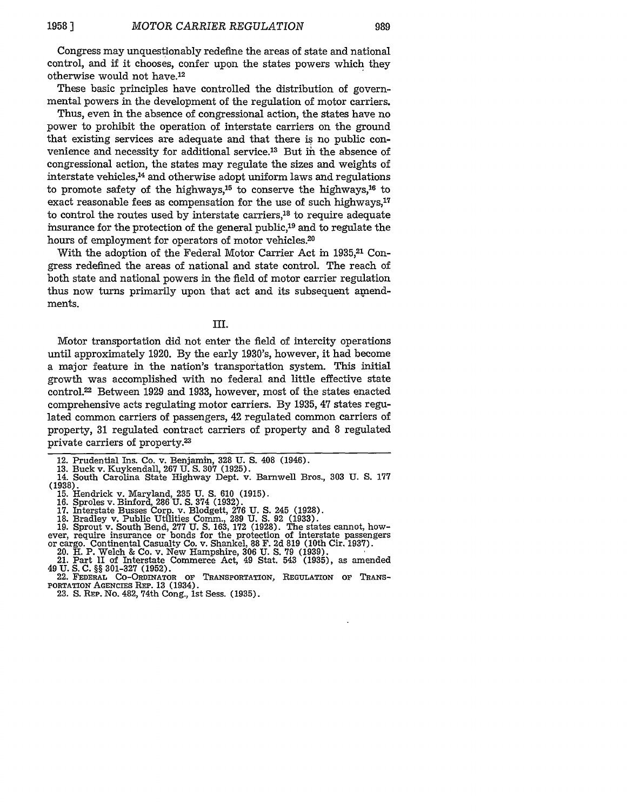989

Congress may unquestionably redefine the areas of state and national control, and if it chooses, confer upon the states powers which they otherwise would not have.<sup>12</sup>

These basic principles have controlled the distribution of governmental powers in the development of the regulation of motor carriers.

Thus, even in the absence of congressional action, the states have no power to prohibit the operation of interstate carriers on the ground that existing services are adequate and that there is no public convenience and necessity for additional service.<sup>13</sup> But in the absence of congressional action, the states may regulate the sizes and weights of interstate vehicles, 14 and otherwise adopt uniform laws and regulations to promote safety of the highways, 15 to conserve the highways, 16 to exact reasonable fees as compensation for the use of such highways, $17$ to control the routes used by interstate carriers,18 to require adequate insurance for the protection of the general public,19 and to regulate the hours of employment for operators of motor vehicles.<sup>20</sup>

With the adoption of the Federal Motor Carrier Act in 1935,<sup>21</sup> Congress redefined the areas of national and state control. The reach of both state and national powers in the field of motor carrier regulation thus now turns primarily upon that act and its subsequent amendments.

III.

Motor transportation did not enter the field of intercity operations until approximately 1920. By the early 1930's, however, it had become a major feature in the nation's transportation system. This initial growth was accomplished with no federal and little effective state control.<sup>22</sup> Between 1929 and 1933, however, most of the states enacted comprehensive acts regulating motor carriers. By 1935, 47 states regulated common carriers of passengers, 42 regulated common carriers of property, 31 regulated contract carriers of property and 8 regulated private carriers of property.2

- 
- 

17. Interstate Busses Corp. v. Blodgett, 276 U. S. 245 (1928).<br>17. Interstate Busses Corp. v. Blodgett, 276 U. S. 245 (1928).<br>18. Bradley v. Public Utilities Comm., 289 U. S. 92 (1933).<br>19. Sprout v. South Bend, 277 U. S.

ever, require insurance or bonds for the protection of interstate passengers<br>or cargo. Continental Casualty Co. v. Shankel, 88 F. 2d 819 (10th Cir. 1937).<br>20. H. P. Welch & Co. v. New Hampshire, 306 U. S. 79 (1939).<br>21. Pa

**PORTATION** AGENcIEs REP. 13 (1934).

23. **S.** REP. No. 482, 74th Cong., **1st** Sess. (1935).

<sup>12.</sup> Prudential Ins. Co. v. Benjamin, 328 U. S. 408 (1946).

<sup>13.</sup> Buck v. Kuykendall, 267 U. S. 307 (1925). 14. South Carolina State Highway Dept. v. Barnwell Bros., 303 U. S. 177 **(1938).** 15. Hendrick v. Maryland, 235 U. **S.** 610 (1915). 16. Sproles v. Binford, 286 U. **S.** 374 (1932).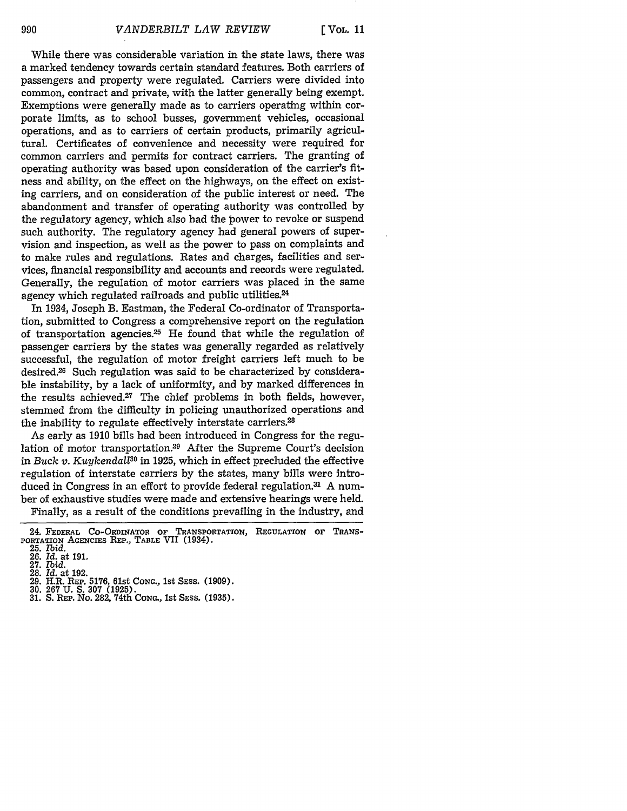While there was considerable variation in the state laws, there was a marked tendency towards certain standard features. Both carriers of passengers and property were regulated. Carriers were divided into common, contract and private, with the latter generally being exempt. Exemptions were generally made as to carriers operating within corporate limits, as to school busses, government vehicles, occasional operations, and as to carriers of certain products, primarily agricultural. Certificates of convenience and necessity were required for common carriers and permits for contract carriers. The granting of operating authority was based upon consideration of the carrier's fitness and ability, on the effect on the highways, on the effect on existing carriers, and on consideration of the public interest or need. The abandonment and transfer of operating authority was controlled **by** the regulatory agency, which also had the power to revoke or suspend such authority. The regulatory agency had general powers of supervision and inspection, as well as the power to pass on complaints and to make rules and regulations. Rates and charges, facilities and services, financial responsibility and accounts and records were regulated. Generally, the regulation of motor carriers was placed in the same agency which regulated railroads and public utilities.<sup>24</sup>

In 1934, Joseph B. Eastman, the Federal Co-ordinator of Transportation, submitted to Congress a comprehensive report on the regulation of transportation agencies.<sup>25</sup> He found that while the regulation of passenger carriers by the states was generally regarded as relatively successful, the regulation of motor freight carriers left much to be desired.<sup>26</sup> Such regulation was said to be characterized by considerable instability, by a lack of uniformity, and by marked differences in the results achieved.<sup>27</sup> The chief problems in both fields, however, stemmed from the difficulty in policing unauthorized operations and the inability to regulate effectively interstate carriers.<sup>28</sup>

As early as **1910** bills had been introduced in Congress for the regulation of motor transportation.29 After the Supreme Court's decision in *Buck v. Kuykendal30* in 1925, which in effect precluded the effective regulation of interstate carriers by the states, many bills were introduced in Congress in an effort to provide federal regulation.<sup>31</sup> A number of exhaustive studies were made and extensive hearings were held.

Finally, as a result of the conditions prevailing in the industry, and

<sup>24.</sup> **FEDERAL** CO-ORDINATOR **OF TRANSPORTATION, REGULATION OF TRANS-**PORTATION **AGENcIEs REP., TABLE** VII (1934). **25.** *Ibid.*

<sup>26.</sup> *Id.* at 191. **27.** *Ibid.*

<sup>28.</sup> *Id.* at 192.

<sup>29.</sup> H.R. REP. **5176,** 61st **CONG.,** 1st **SESS.** (1909).

**<sup>30. 267</sup> U.** S. **307** (1925). 31. S. REP. No. 282, 74th **CONG.,** 1st SESS. (1935).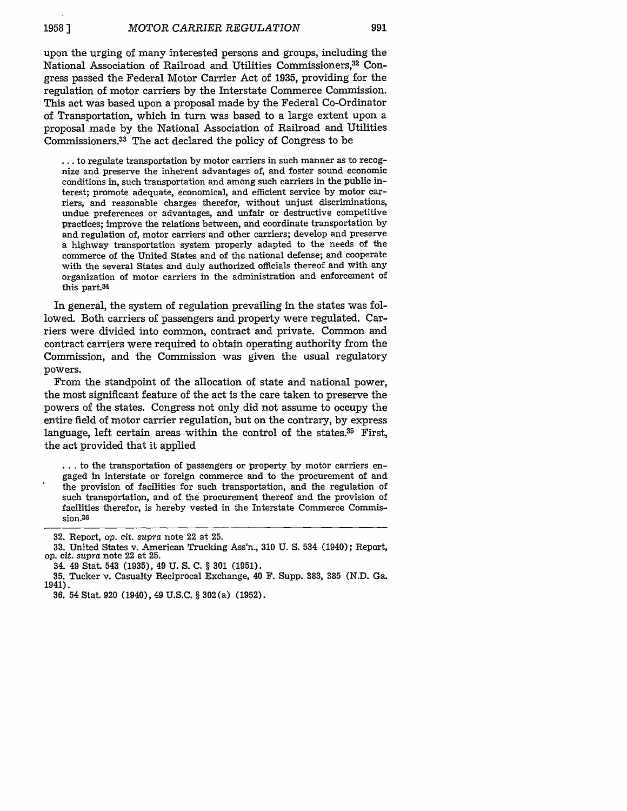upon the urging of many interested persons and groups, including the National Association of Railroad and Utilities Commissioners,32 Congress passed the Federal Motor Carrier Act of 1935, providing for the regulation of motor carriers by the Interstate Commerce Commission. This act was based upon a proposal made by the Federal Co-Ordinator of Transportation, which in turn was based to a large extent upon a proposal made by the National Association of Railroad and Utilities Commissioners.3 The act declared the policy of Congress to be

**...** to regulate transportation by motor carriers in such manner as to recognize and preserve the inherent advantages of, and foster sound economic conditions in, such transportation and among such carriers in the public interest; promote adequate, economical, and efficient service by motor carriers, and reasonable charges therefor, without unjust discriminations, undue preferences or advantages, and unfair or destructive competitive practices; improve the relations between, and coordinate transportation by and regulation of, motor carriers and other carriers; develop and preserve a highway transportation system properly adapted to the needs of the commerce of the United States and of the national defense; and cooperate with the several States and duly authorized officials thereof and with any organization of motor carriers in the administration and enforcement of this part.<sup>34</sup>

In general, the system of regulation prevailing in the states was followed. Both carriers of passengers and property were regulated. Carriers were divided into common, contract and private. Common and contract carriers were required to obtain operating authority from the Commission, and the Commission was given the usual regulatory powers.

From the standpoint of the allocation of state and national power, the most significant feature of the act is the care taken to preserve the powers of the states. Congress not only did not assume to occupy the entire field of motor carrier regulation, but on the contrary, by express language, left certain areas within the control of the states. $35$  First, the act provided that it applied

**...** to the transportation of passengers or property by motor carriers engaged in interstate or foreign commerce and to the procurement of and the provision of facilities for such transportation, and the regulation of such transportation, and of the procurement thereof and the provision of facilities therefor, is hereby vested in the Interstate Commerce Commis**sion.36**

**<sup>32.</sup>** Report, op. cit. *supra* note 22 at 25.

<sup>33.</sup> United States v. American Trucking Ass'n., 310 U. S. 534 (1940); Report, op. *cit. supra* note 22 at 25.

<sup>34. 49</sup> Stat. 543 (1935), 49 U. S. C. § **301** (1951).

**<sup>35.</sup>** Tucker v. Casualty Reciprocal Exchange, 40 **F.** Supp. 383, **385** (N.D. Ga. 1941).

**<sup>36.</sup>** 54 Stat. 920 (1940), 49 U.S.C. § 302(a) (1952).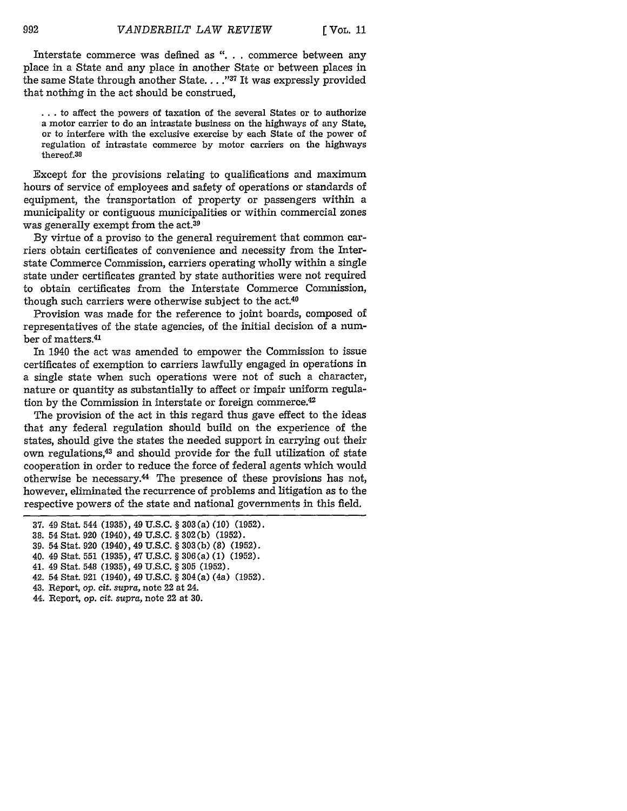Interstate commerce was defined as **". . .** commerce between any place in a State and any place in another State or between places in the same State through another State. . . .<sup>1937</sup> It was expressly provided that nothing in the act should be construed,

**..**.to affect the powers of taxation of the several States or to authorize a motor carrier to do an intrastate business on the highways of any State, or to interfere with the exclusive exercise by each State of the power of regulation of intrastate commerce by motor carriers on the highways thereof.38

Except for the provisions relating to qualifications and maximum hours of service of employees and safety of operations or standards of equipment, the transportation of property or passengers within a municipality or contiguous municipalities or within commercial zones was generally exempt from the act.<sup>39</sup>

By virtue of a proviso to the general requirement that common carriers obtain certificates of convenience and necessity from the Interstate Commerce Commission, carriers operating wholly within a single state under certificates granted by state authorities were not required to obtain certificates from the Interstate Commerce Commission, though such carriers were otherwise subject to the act.<sup>40</sup>

Provision was made for the reference to joint boards, composed of representatives of the state agencies, of the initial decision of a number of matters.4'

In 1940 the act was amended to empower the Commission to issue certificates of exemption to carriers lawfully engaged in operations in a single state when such operations were not of such a character, nature or quantity as substantially to affect or impair uniform regulation by the Commission in interstate or foreign commerce.<sup>42</sup>

The provision of the act in this regard thus gave effect to the ideas that any federal regulation should build on the experience of the states, should give the states the needed support in carrying out their own regulations,<sup>43</sup> and should provide for the full utilization of state cooperation in order to reduce the force of federal agents which would otherwise be necessary. $44$  The presence of these provisions has not, however, eliminated the recurrence of problems and litigation as to the respective powers of the state and national governments in this field.

- 40. 49 Stat. 551 (1935), 47 U.S.C. § 306(a) (1) (1952).
- 41. 49 Stat. 548 (1935), 49 U.S.C. **§** 305 (1952).
- 42. 54 Stat. 921 (1940), 49 U.S.C. § 304(a) (4a) (1952).
- 43. Report, *op.* cit. *supra,* note 22 at 24.
- 44. Report, op. *cit. supra,* note 22 at 30.

<sup>37. 49</sup> Stat. 544 (1935), 49 U.S.C. § 303(a) (10) (1952).

<sup>38. 54</sup> Stat. 920 (1940), 49 U.S.C. § 302(b) (1952).

<sup>39. 54</sup> Stat. 920 (1940), 49 U.S.C. § 303(b) (8) (1952).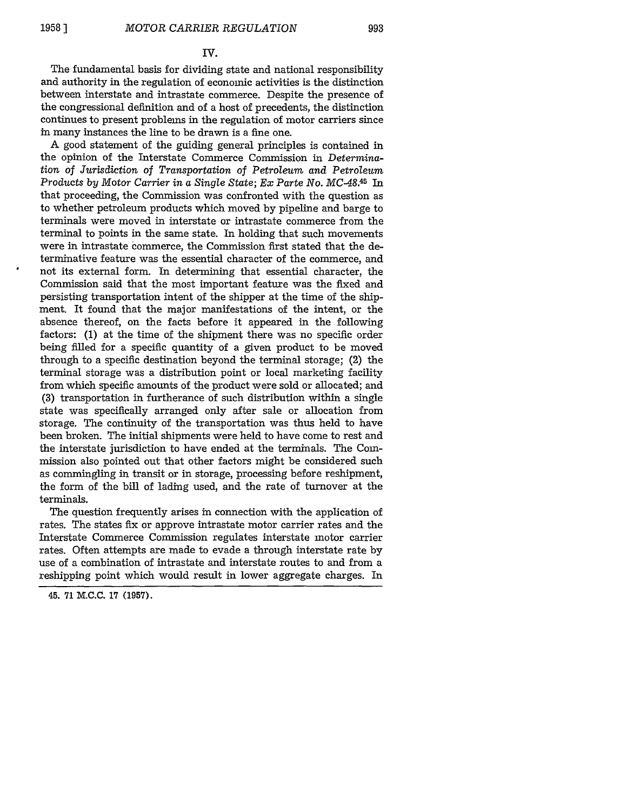### **IV.**

The fundamental basis for dividing state and national responsibility and authority in the regulation of economic activities is the distinction between interstate and intrastate commerce. Despite the presence of the congressional definition and of a host of precedents, the distinction continues to present problems in the regulation of motor carriers since in many instances the line to be drawn is a fine one.

A good statement of the guiding general principles is contained in the opinion of the Interstate Commerce Commission in *Determination* of *Jurisdiction of Transportation of Petroleum and Petroleum Products by Motor Carrier in a Single State; Ex Parte No. MC-48. 45 In* that proceeding, the Commission was confronted with the question as to whether petroleum products which moved by pipeline and barge to terminals were moved in interstate or intrastate commerce from the terminal to points in the same state. In holding that such movements were in intrastate commerce, the Commission first stated that the determinative feature was the essential character of the commerce, and not its external form. In determining that essential character, the Commission said that the most important feature was the fixed and persisting transportation intent of the shipper at the time of the shipment. It found that the major manifestations of the intent, or the absence thereof, on the facts before it appeared in the following factors: (1) at the time of the shipment there was no specific order being filled for a specific quantity of a given product to be moved through to a specific destination beyond the terminal storage; (2) the terminal storage was a distribution point or local marketing facility from which specific amounts of the product were sold or allocated; and (3) transportation in furtherance of such distribution within a single state was specifically arranged only after sale or allocation from storage. The continuity of the transportation was thus held to have been broken. The initial shipments were held to have come to rest and the interstate jurisdiction to have ended at the terminals. The Commission also pointed out that other factors might be considered such as commingling in transit or in storage, processing before reshipment, the form of the bill of lading used, and the rate of turnover at the terminals.

The question frequently arises in connection with the application of rates. The states fix or approve intrastate motor carrier rates and the Interstate Commerce Commission regulates interstate motor carrier rates. Often attempts are made to evade a through interstate rate by use of a combination of intrastate and interstate routes to and from a reshipping point which would result in lower aggregate charges. In

<sup>45. 71</sup> M.C.C. 17 (1957).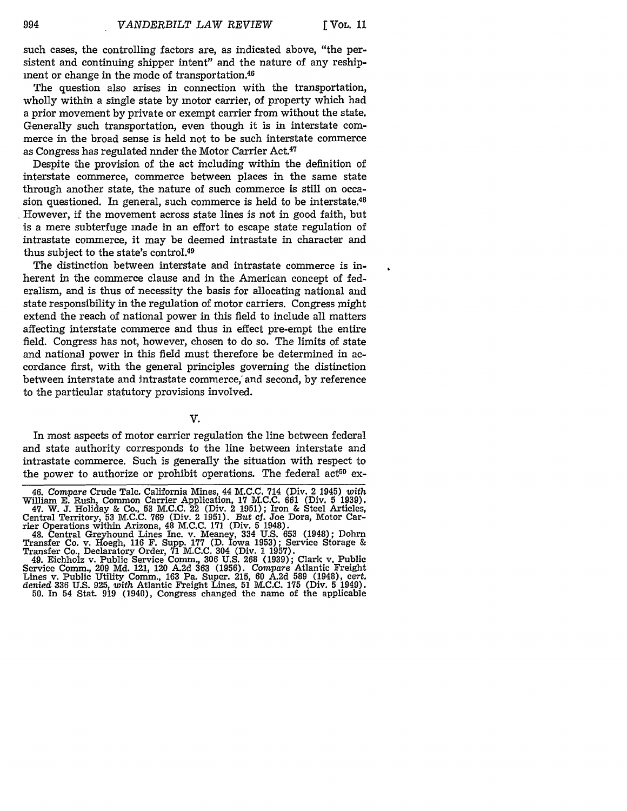such cases, the controlling factors are, as indicated above, "the persistent and continuing shipper intent" and the nature of any reshipment or change in the mode of transportation.<sup>46</sup>

The question also arises in connection with the transportation, wholly within a single state by motor carrier, of property which had a prior movement by private or exempt carrier from without the state. Generally such transportation, even though it is in interstate commerce in the broad sense is held not to be such interstate commerce as Congress has regulated nnder the Motor Carrier Act.<sup>47</sup>

Despite the provision of the act including within the definition of interstate commerce, commerce between places in the same state through another state, the nature of such commerce is still on occasion questioned. In general, such commerce is held to be interstate. $48$ However, if the movement across state lines is not in good faith, but is a mere subterfuge made in an effort to escape state regulation of intrastate commerce, it may be deemed intrastate in character and thus subject to the state's control.49

The distinction between interstate and intrastate commerce is inherent in the commerce clause and in the American concept of federalism, and is thus of necessity the basis for allocating national and state responsibility in the regulation of motor carriers. Congress might extend the reach of national power in this field to include all matters affecting interstate commerce and thus in effect pre-empt the entire field. Congress has not, however, chosen to do so. The limits of state and national power in this field must therefore be determined in accordance first, with the general principles governing the distinction between interstate and intrastate commerce, and second, by reference to the particular statutory provisions involved.

#### V.

In most aspects of motor carrier regulation the line between federal and state authority corresponds to the line between interstate and intrastate commerce. Such is generally the situation with respect to the power to authorize or prohibit operations. The federal act<sup>50</sup> ex-

<sup>46.</sup> *Compare* Crude Talc. California Mines, 44 M.C.C. 714 (Div. 2 1945) *with* William E. Rush, Common Carrier Application, **17** M.C.C. 661 (Div. 5 1939). 47. W. **J.** Holiday & Co., **53** M.C.C. 22 (Div. 2 1951); Iron & Steel Articles, Central Territory, 53 M.C.C. **769** (Div. 2 1951). *But cf.* Joe Dora, Motor Car-

rier Operations within Arizona, 48 **M.C.C. 171** (Div. 5 1948). 48. Central Greyhound Lines Inc. v. Meaney, 334 U.S. 653 (1948); Dohrn Transfer Co. v. Hoegh, 116 F. Supp. **177** (D. Iowa 1953); Service Storage &

Transfer Co., Declaratory Order, 71 M.C.C. 304 (Div. 1 1957). 49. Eichholz v. Public Service Comm., **306** U.S. 268 (1939); Clark v. Public Service Comm., 209 Md. 121, 120 A:2d **363** (1956). *Compare* Atlantic Freight Lines v. Public Utility Comm., 163 Pa. Super. 215, 60 A.2d **589** (1948), cert. denied **336 U.S.** 925, *with* Atlantic Freight Lines, 51 M.C.C. **175** (Div. 5 1949). 50. In 54 Stat. 919 (1940), Congress changed the name of the applicable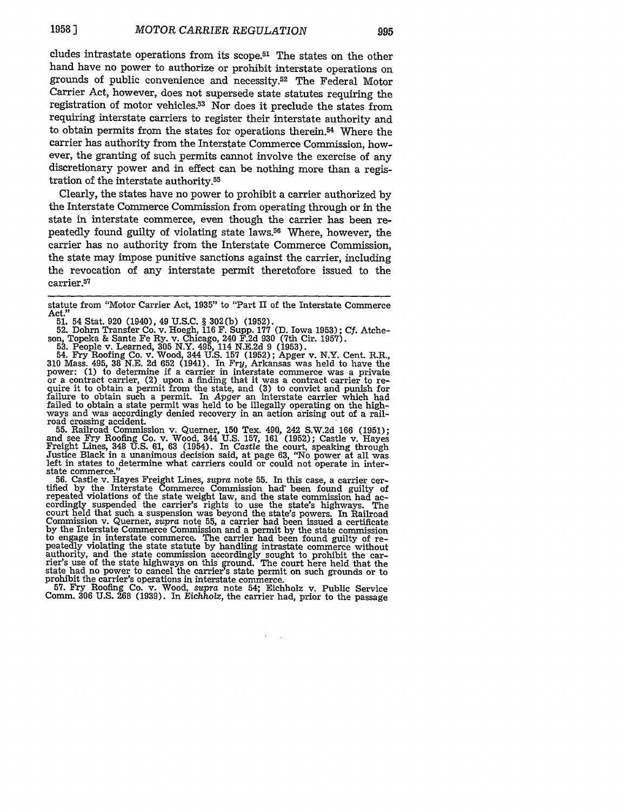cludes intrastate operations from its scope.51 The states on the other hand have no power to authorize or prohibit interstate operations on grounds of public convenience and necessity.<sup>52</sup> The Federal Motor Carrier Act, however, does not supersede state statutes requiring the registration of motor vehicles.<sup>53</sup> Nor does it preclude the states from requiring interstate carriers to register their interstate authority and to obtain permits from the states for operations therein.54 Where the carrier has authority from the Interstate Commerce Commission, however, the granting of such permits cannot involve the exercise of any discretionary power and in effect can be nothing more than a registration of the interstate authority.55

Clearly, the states have no power to prohibit a carrier authorized by the Interstate Commerce Commission from operating through or in the state in interstate commerce, even though the carrier has been repeatedly found guilty of violating state laws.58 Where, however, the carrier has no authority from the Interstate Commerce Commission, the state may impose punitive sanctions against the carrier, including the revocation of any interstate permit theretofore issued to the carrier.<sup>57</sup>

son, Topeka & Sante Fe Ry. v. Chicago, 240 F.2d 930 (7th Cir. 1957).<br>53. People v. Learned, 305 N.Y. 495, 114 N.E.2d 9 (1953).<br>54. Fry Roofing Co. v. Wood, 344 U.S. 157 (1952); Apger v. N.Y. Cent. R.R.,<br>310 Mass. 495, 38 N or a contract carrier, (2) upon a finding that it was a contract carrier to re- quire it to obtain a permit from the state, and (3) to convict and punish for failure to obtain such a permit. In *Apger* an interstate carrier which had failed to obtain a state permit was held to be illegally operating on the highways and was accordingly denied recovery in an action arising out of a railroad crossing accident.

For a simple cuttom. S. Querner, 150 Tex. 490, 242 S.W.2d 166 (1951);<br>and see Fry Roofing Co. v. Wood, 344 U.S. 157, 161 (1952); Castle v. Hayes<br>Freight Lines, 348 U.S. 61, 63 (1954). In Castle the court, speaking through<br>

state commerce." 56. Castle v. Hayes Freight Lines, *supra* note 55. In this case, a carrier cer-tified by the Interstate Commerce Commission had: been found guilty of repeated violations of the state weight law, and the state commission had accordingly suspended the carrier's rights to use the state's highways. The court held that such a suspension was beyond the state's powers. In Railroad Commission v. Querner, *supra* note 55, a carrier had been issued a certificate by the Interstate Commerce Commission and a permit by the state commission by the Interstate Commerce Commission and a permit by the state commission to engage in interstate commerce. The carrier had been found guilty of repeatedly violating the state statute by handling intrastate commerce without authority, and the state commission accordingly sought to prohibit the car- rier's use of the state highways on this ground. The court here held that the state had no power to cancel the carrier's state permit on such grounds or to prohibit the carrier's operations in interstate commerce. **57.** Fry Roofing Co. v. Wood, *supra* note 54; Eichholz v. Public Service

Comm. 306 U.S. 268 (1939). In *Eichholz,* the carrier had, prior to the passage

 $\sim$ 

statute from "Motor Carrier Act, 1935" to "Part II of the Interstate Commerce Act."<br>- 51. 54 Stat. 920 (1940), 49 U.S.C. § 302(b) (1952).<br>- 52. Dohrn Transfer Co. v. Hoegh, 116 F. Supp. 177 (D. Iowa 1953); Cf. Atche-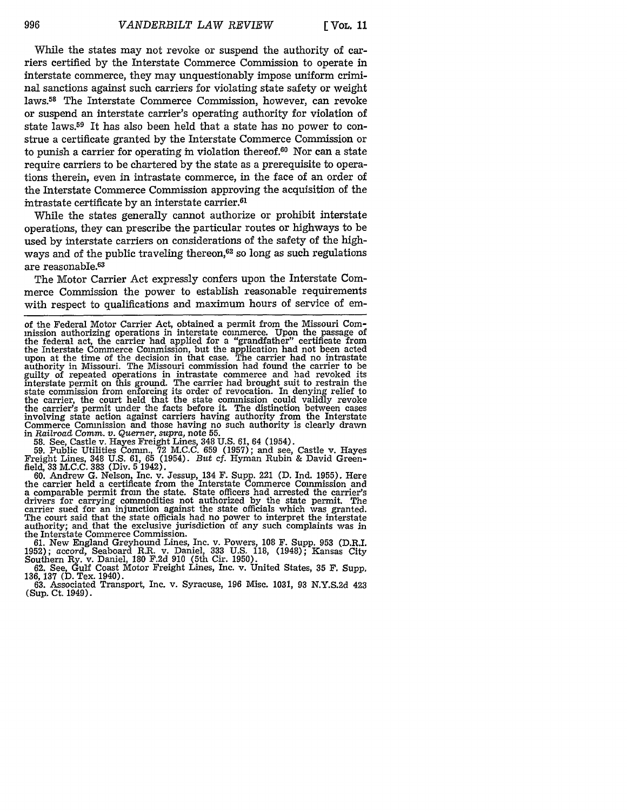While the states may not revoke or suspend the authority of carriers certified by the Interstate Commerce Commission to operate in interstate commerce, they may unquestionably impose uniform criminal sanctions against such carriers for violating state safety or weight laws.58 The Interstate Commerce Commission, however, can revoke or suspend an interstate carrier's operating authority for violation of state laws.59 It has also been held that a state has no power to construe a certificate granted by the Interstate Commerce Commission or to punish a carrier for operating in violation thereof. $60$  Nor can a state require carriers to be chartered by the state as a prerequisite to operations therein, even in intrastate commerce, in the face of an order of the Interstate Commerce Commission approving the acquisition of the intrastate certificate by an interstate carrier.<sup>61</sup>

While the states generally cannot authorize or prohibit interstate operations, they can prescribe the particular routes or highways to be used by interstate carriers on considerations of the safety of the highways and of the public traveling thereon,<sup>62</sup> so long as such regulations are reasonable.63

The Motor Carrier Act expressly confers upon the Interstate Commerce Commission the power to establish reasonable requirements with respect to qualifications and maximum hours of service of em-

58. See, Castle v. Hayes Freight Lines, 348 U.S. 61, 64 (1954).

59. Public Utilities Comm., 72 M.C.C. 659 (1957); and see, Castle v. Hayes Freight Lines, 348 U.S. 61, 65 (1954). *But* cf. Hyman Rubin & David Greenfield, 33 M.C.C. 383 (Div. 5 1942).

60. Andrew G. Nelson, Inc. v. Jessup, 134 F. Supp. 221 (D. Ind. 1955). Here the carrier held a certificate from the Interstate Commerce Commission and a comparable permit from the state. State officers had arrested the carrier's drivers for carrying commodities not authorized by the state permit. The carrier sued for an injunction against the state officials which was granted. The court said that the state officials had no power to interpret the interstate authority; and that the exclusive jurisdiction of any such complaints was in the Interstate Commerce Commission.

61. New England Greyhound Lines, Inc. v. Powers, 108 F. Supp. 953 (D.R.I. 1952); accord, Seaboard R.R. v. Daniel, 333 U.S. 118, (1948); Kansas City Southern Ry. v. Daniel, 180 F.2d 910 (5th Cir. 1950).

62. See, Gulf Coast Motor Freight Lines, Inc. v. United States, 35 F. Supp.<br>136, 137 (D. Tex. 1940).

63. Associated Transport, Inc. v. Syracuse, 196 Misc. 1031, 93 N.Y.S.2d 423 (Sup. Ct. 1949).

of the Federal Motor Carrier Act, obtained a permit from the Missouri Commission authorizing operations in interstate commerce. Upon the passage of the federal act, the carrier had applied for a "grandfather" certificate from the Interstate Commerce Commission, but the application had not been acted upon at the time of the decision in that case. The carrier had no intrastate authority in Missouri. The Missouri commission had found the carrier to be guilty of repeated operations in intrastate commerce and had revoked its interstate permit on this ground. The carrier had brought suit to restrain the state commission from enforcing its order of revocation. In denying relief to the carrier, the court held that the state commission could validly revoke the carrier's permit under the facts before it. The distinction between cases involving state action against carriers having authority from the Interstate Commerce Commission and those having no such authority is clearly drawn in *Railroad Comm. v. Querner, supra,* note 55.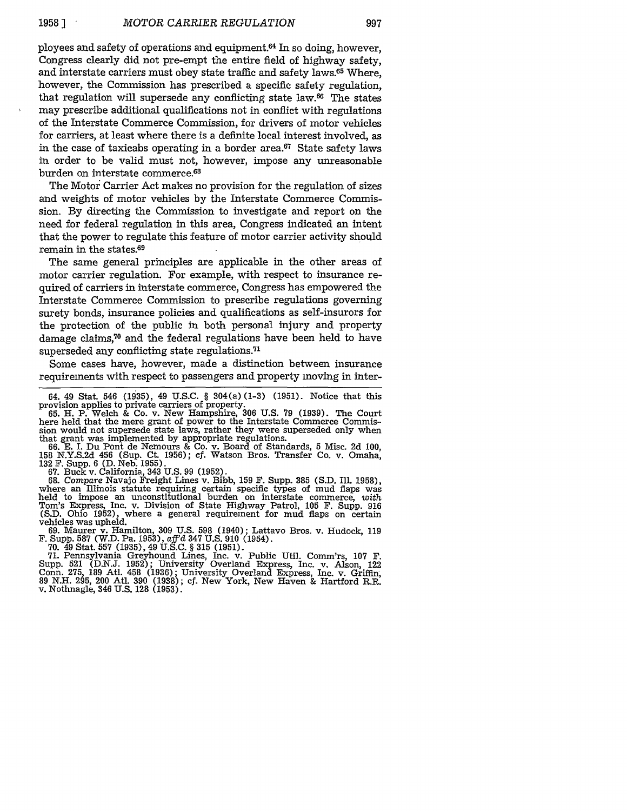ployees and safety of operations and equipment.64 In so doing, however, Congress clearly did not pre-empt the entire field of highway safety, and interstate carriers must obey state traffic and safety laws.65 Where, however, the Commission has prescribed a specific safety regulation, that regulation will supersede any conflicting state law.<sup>66</sup> The states may prescribe additional qualifications not in conflict with regulations of the Interstate Commerce Commission, for drivers of motor vehicles for carriers, at least where there is a definite local interest involved, as in the case of taxicabs operating in a border area.<sup>67</sup> State safety laws in order to be valid must not, however, impose any unreasonable burden on interstate commerce.68

The Motor Carrier Act makes no provision for the regulation of sizes and weights of motor vehicles by the Interstate Commerce Commission. By directing the Commission to investigate and report on the need for federal regulation in this area, Congress indicated an intent that the power to regulate this feature of motor carrier activity should remain in the states.69

The same general principles are applicable in the other areas of motor carrier regulation. For example, with respect to insurance required of carriers in interstate commerce, Congress has empowered the Interstate Commerce Commission to prescribe regulations governing surety bonds, insurance policies and qualifications as self-insurors for the protection of the public in both personal injury and property damage claims, $70$  and the federal regulations have been held to have superseded any conflicting state regulations.<sup>71</sup>

Some cases have, however, made a distinction between insurance requirements with respect to passengers and property moving in inter-

158 N.Y.S.2d 456 (Sup. Ct. 1956); cf. Watson Bros. Transfer Co. v. Omaha, 132 F. Supp. 6 (D. Neb. 1955).

67. Buck v. California, 343 U.S. 99 (1952).

68. Compare Navajo Freight Lines v. Bibb, 159 F. Supp. 385 (S.D. Ill. 1958), where an Illinois statute requiring certain specific types of mud flaps was held to impose an unconstitutional burden on interstate commerce, *with* Tom's Express, Inc. v. Division of State Highway Patrol, 105 F. Supp. 916 (S.D. Ohio 1952), where a general requirement for mud flaps on certain vehicles was upheld.

vehicles was upheld. 69. Maurer v. Hamilton, 309 U.S. 598 (1940); Lattavo Bros. v. Hudock, 119 **F.** Supp. **587** (W.D. Pa. **1953),** *aff'd* 347 **U.S. 910** (1954).

**70.** 49 Stat. **557** (1935), 49 U.S.C. § **315** (1951). **71.** Pennsylvania Greyhound Lines, Inc. v. Public Util. Comm'rs, 107 F. Supp. 521 (D.N.J. 1952); University Overland Express, Inc. v. Alson, 122 Conn. 275, 189 Atl. 458 (1936); University Overland Express, Inc. v. Griffin, 89 N.H. 295, 200 Atl. 390 (1938); cf. New York, New Haven & Hartford R.R. v. Nothnagle, 346 U.S. 128 (1953).

<sup>64. 49</sup> Stat. 546 (1935), 49 U.S.C. § 304(a)(1-3) (1951). Notice that this provision applies to private carriers of property. 65. H. P. Welch & Co. v. New Hampshire, 306 U.S. 79 (1939). The Court

here held that the mere grant of power to the Interstate Commerce Commission would not supersede state laws, rather they were superseded only when that grant was implemented by appropriate regulations.<br>66. E. I. Du Pont de Nemours & Co. v. Board of Standards, 5 Misc. 2d 100,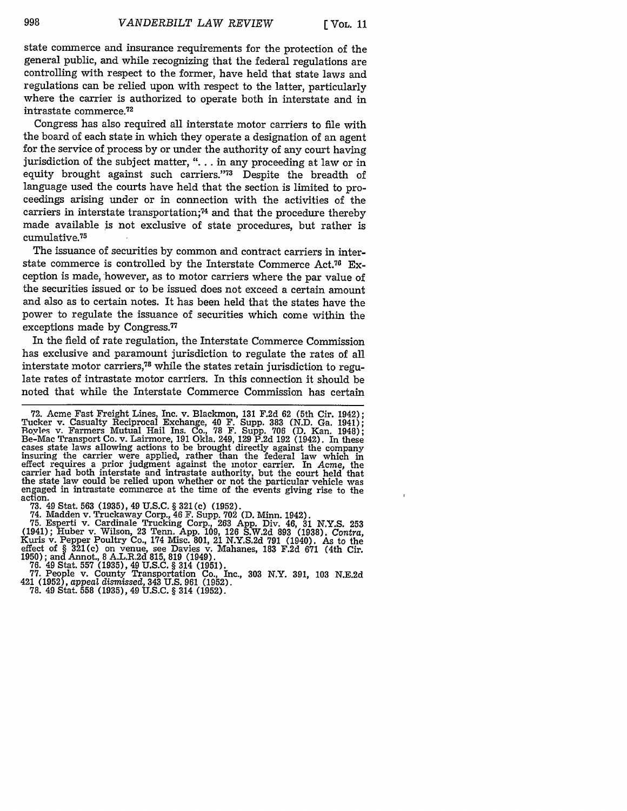state commerce and insurance requirements for the protection of the general public, and while recognizing that the federal regulations are controlling with respect to the former, have held that state laws and regulations can be relied upon with respect to the latter, particularly where the carrier is authorized to operate both in interstate and in intrastate commerce.<sup>72</sup>

Congress has also required all interstate motor carriers to file with the board of each state in which they operate a designation of an agent for the service of process by or under the authority of any court having jurisdiction of the subject matter, ". . . in any proceeding at law or in equity brought against such carriers."73 Despite the breadth of language used the courts have held that the section is limited to proceedings arising under or in connection with the activities of the carriers in interstate transportation; 74 and that the procedure thereby made available is not exclusive of state procedures, but rather is cumulative.<sup>75</sup>

The issuance of securities by common and contract carriers in interstate commerce is controlled by the Interstate Commerce Act.<sup>76</sup> Exception is made, however, as to motor carriers where the par value of the securities issued or to be issued does not exceed a certain amount and also as to certain notes. It has been held that the states have the power to regulate the issuance of securities which come within the exceptions made by Congress.<sup>77</sup>

In the field of rate regulation, the Interstate Commerce Commission has exclusive and paramount jurisdiction to regulate the rates of all interstate motor carriers,<sup>78</sup> while the states retain jurisdiction to regulate rates of intrastate motor carriers. In this connection it should be noted that while the Interstate Commerce Commission has certain

73. **49 Stat. 563 (1935), 49 U.S.C.** § 321(c) (1952).<br>74. Madden v. Truckaway Corp., 46 F. Supp. 702 (D. Minn. 1942).<br>75. Esperti v. Cardinale Trucking Corp., 263 App. Div. 46, 31 N.Y.S. 253 (1941); Huber v. Wilson, 23 Tenn. App. 109, 126 S.W.2d 893 (1938). *Contra,* Kuris v. Pepper Poultry Co., 174 Misc. 801, 21 N.Y.S.2d **791** (1940). As to the effect of § 321(c) on venue, see Davies v. Mahanes, 183 F.2d 671 (4th Cir. 1950); and Annot., 8 A.L.R.2d 815, 819 (1949). **76.** 49 Stat. **557** (1935), 49 U.S.C. § 314 (1951). **77.** People v. County Transportation Co., Inc., **303** N.Y. 391, 103 N.E.2d

421 (1952), *appeal* dismissed, 343 U.S. 961 (1952). **78.** 49 Stat. 558 (1935), 49 U.S.C. § 314 (1952).

<sup>72.</sup> Acme Fast Freight Lines, Inc. v. Blackmon, 131 F.2d 62 (5th Cir. 1942); Tucker v. Casualty Reciprocal Exchange, 40 F. Supp. 383 (N.D. Ga. 1941); Royles v. Farmers Mutual Hail Ins. Co., 78 F. Supp. 706 (D. Kan. 1948); R cases state laws allowing actions to be brought directly against the company insuring the carrier were applied, rather than the federal law which in effect requires a prior judgment against the motor carrier. In *Acme,* the carrier had both interstate and intrastate authority, but the court held that the state law could be relied upon whether or not the particular vehicle was engaged in intrastate commerce at the time of the events giving rise to the action.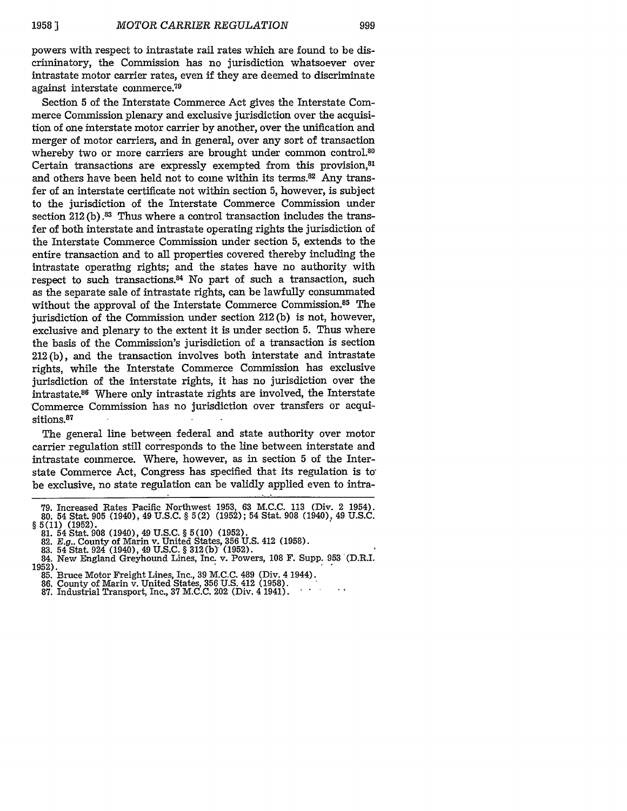powers with respect to intrastate rail rates which are found to be discriminatory, the Commission has no jurisdiction whatsoever over intrastate motor carrier rates, even if they are deemed to discriminate against interstate commerce. 79

Section 5 of the Interstate Commerce Act gives the Interstate Commerce Commission plenary and exclusive jurisdiction over the acquisition of one interstate motor carrier by another, over the unification and merger of motor carriers, and in general, over any sort of transaction whereby two or more carriers are brought under common control.<sup>80</sup> Certain transactions are expressly exempted from this provision, 81 and others have been held not to come within its terms.<sup>82</sup> Any transfer of an interstate certificate not within section 5, however, is subject to the jurisdiction of the Interstate Commerce Commission under section 212 (b) **.83** Thus where a control transaction includes the transfer of both interstate and intrastate operating rights the jurisdiction of the Interstate Commerce Commission under section 5, extends to the entire transaction and to all properties covered thereby including the intrastate operating rights; and the states have no authority with respect to such transactions.<sup>84</sup> No part of such a transaction, such as the separate sale of intrastate rights, can be lawfully consummated without the approval of the Interstate Commerce Commission.85 The jurisdiction of the Commission under section 212 (b) is not, however, exclusive and plenary to the extent it is under section 5. Thus where the basis of the Commission's jurisdiction of a transaction is section 212 (b), and the transaction involves both interstate and intrastate rights, while the Interstate Commerce Commission has exclusive jurisdiction of the interstate rights, it has no jurisdiction over the intrastate.86 Where only intrastate rights are involved, the Interstate Commerce Commission has no jurisdiction over transfers or acquisitions.<sup>87</sup>

The general line between federal and state authority over motor carrier regulation still corresponds to the line between interstate and intrastate commerce. Where, however, as in section 5 of the Interstate Commerce Act, Congress has specified that its regulation is to be exclusive, no state regulation can be validly applied even to intra-

- 
- 

<sup>79.</sup> Increased Rates Pacific Northwest 1953, 63 M.C.C. 113 (Div. 2 1954). 80. 54 Stat. 905 (1940), 49 U.S.C. *§* 5(2) (1952); 54 Stat. 908 (1940), 49 U.S.C.

*<sup>§</sup>* 5(11) (1952). 81. 54 Stat. 908 (1940), 49 U.S.C. *§* 5(10) (1952).

<sup>82.</sup> *E.g..* County of Marin v. United States, 356 U.S. 412 (1958).<br>83. 54 Stat. 924 (1940), 49 U.S.C. § 312(b) (1952).<br>84. New England Greyhound Lines, Inc. v. Powers, 108 F. Supp. 953 (D.R.I 1952).<br>85. Bruce Motor Freight Lines, Inc., 39 M.C.C. 489 (Div. 4 1944).<br>86. County of Marin v. United States, 356 U.S. 412 (1958).<br>87. Industrial Transport, Inc., 37 M.C.C. 202 (Div. 4 1941).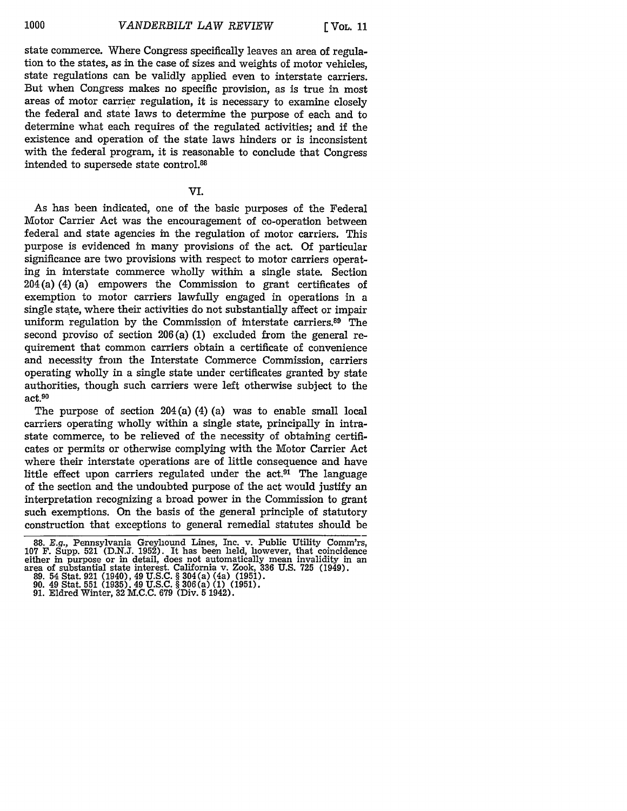state commerce. Where Congress specifically leaves an area of regulation to the states, as in the case of sizes and weights of motor vehicles, state regulations can be validly applied even to interstate carriers. But when Congress makes no specific provision, as is true in most areas of motor carrier regulation, it is necessary to examine closely the federal and state laws to determine the purpose of each and to determine what each requires of the regulated activities; and if the existence and operation of the state laws hinders or is inconsistent with the federal program, it is reasonable to conclude that Congress intended to supersede state control.88

### VI.

As has been indicated, one of the basic purposes of the Federal Motor Carrier Act was the encouragement of co-operation between federal and state agencies in the regulation of motor carriers. This purpose is evidenced in many provisions of the act. Of particular significance are two provisions with respect to motor carriers operating in interstate commerce wholly within a single state. Section 204 (a) (4) (a) empowers the Commission to grant certificates of exemption to motor carriers lawfully engaged in operations in a single state, where their activities do not substantially affect or impair uniform regulation by the Commission of interstate carriers.89 The second proviso of section 206 (a) (1) excluded from the general requirement that common carriers obtain a certificate of convenience and necessity from the Interstate Commerce Commission, carriers operating wholly in a single state under certificates granted by state authorities, though such carriers were left otherwise subject to the  $act.<sup>90</sup>$ 

The purpose of section 204 (a) (4) (a) was to enable small local carriers operating wholly within a single state, principally in intrastate commerce, to be relieved of the necessity of obtaining certificates or permits or otherwise complying with the Motor Carrier Act where their interstate operations are of little consequence and have little effect upon carriers regulated under the  $act<sup>91</sup>$  The language of the section and the undoubted purpose of the act would justify an interpretation recognizing a broad power in the Commission to grant such exemptions. On the basis of the general principle of statutory construction that exceptions to general remedial statutes should be

<sup>88.</sup> E.g., Pennsylvania Greyhound Lines, Inc. v. Public Utility Comm'rs, 107 F. Supp. 521 (D.N.J. 1952). It has been held, however, that coincidence either in purpose or in detail, does not automatically mean invalidity in either in purpose or in detail, does not automatically mean invalidity in an area of substantial state interest. California v. Zook, **336** U.S. **725** (1949).

<sup>89. 54</sup> Stat. 921 (1940), 49 U.S.C. § 304(a) (4a) (1951). 90. 49 Stat. **551** (1935). 49 U.S.C. § 306(a) (1) (1951).

<sup>91.</sup> Eldred Winter, **32** M.C.C. 679 (Div. **5** 1942).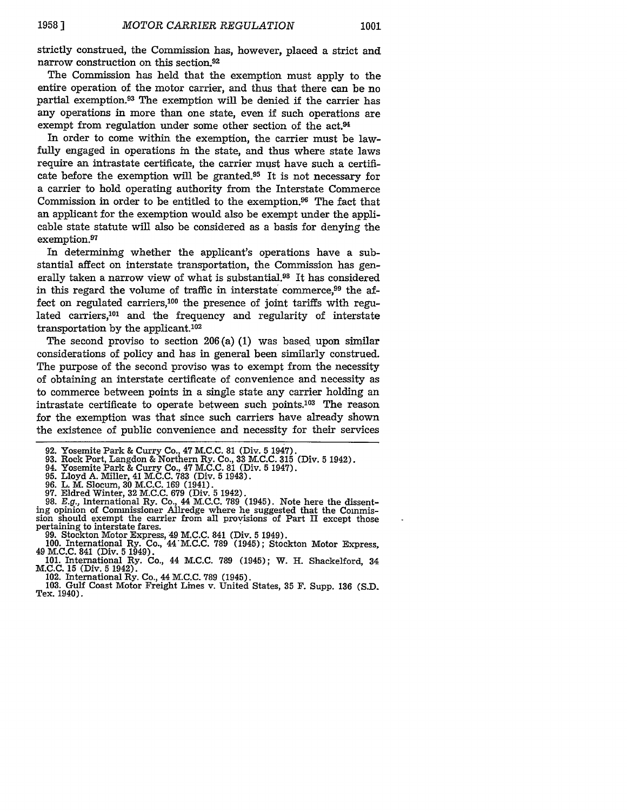strictly construed, the Commission has, however, placed a strict and narrow construction on this section.<sup>92</sup>

The Commission has held that the exemption must apply to the entire operation of the motor carrier, and thus that there can be no partial exemption.<sup>93</sup> The exemption will be denied if the carrier has any operations in more than one state, even if such operations are exempt from regulation under some other section of the act.<sup>94</sup>

In order to come within the exemption, the carrier must be lawfully engaged in operations in the state, and thus where state laws require an intrastate certificate, the carrier must have such a certificate before the exemption will be granted.<sup>95</sup> It is not necessary for a carrier to hold operating authority from the Interstate Commerce Commission in order to be entitled to the exemption.<sup>96</sup> The fact that an applicant for the exemption would also be exempt under the applicable state statute will also be considered as a basis for denying the exemption.<sup>97</sup>

In determining whether the applicant's operations have a substantial affect on interstate transportation, the Commission has generally taken a narrow view of what is substantial.<sup>98</sup> It has considered in this regard the volume of traffic in interstate commerce,<sup>99</sup> the affect on regulated carriers,100 the presence of joint tariffs with regulated carriers,<sup>101</sup> and the frequency and regularity of interstate transportation by the applicant.102

The second proviso to section 206 (a) (1) was based upon similar considerations of policy and has in general been similarly construed. The purpose of the second proviso was to exempt from the necessity of obtaining an interstate certificate of convenience and necessity as to commerce between points in a single state any carrier holding an intrastate certificate to operate between such points.<sup>103</sup> The reason for the exemption was that since such carriers have already shown the existence of public convenience and necessity for their services

- 92. Yosemite Park & Curry Co., 47 M.C.C. 81 (Div. 5 1947).<br>93. Rock Port, Langdon & Northern Ry. Co., 33 M.C.C. 315 (Div. 5 1942)<br>94. Yosemite Park & Curry Co., 47 M.C.C. 81 (Div. 5 1947).<br>95. Lloyd A. Miller, 41 M.C.C. 78
- 
- 
- 
- 

**97.** Eldred Winter, **32 M.C.C. 679** (Div. 5 1942). 98. E.g., International Ry. Co., 44 M.C.C. **789** (1945). Note here the dissent-ing opinion of Commissioner Allredge where he suggested that the Commission should exempt the carrier from all provisions of Part **II** except those pertaining to interstate fares.

- 
- 99. Stockton Motor Express, 49 M.C.C. 841 (Div. 5 1949).<br>100. International Ry. Co., 44 M.C.C. 789 (1945); Stockton Motor Express, 49 M.C.C. 841 (Div. 5 1949).<br>101. International Ry. Co., 44 M.C.C. 789 (1945); W. H. Shacke
- **M.C.C. 15** (Div. 5 1942). 102. International Ry. Co., 44 **M.C.C. 789** (1945). 103. Gulf Coast Motor Freight Lines v. United States, **35** F. Supp. 136 (S.D. Tex. 1940).
	-
-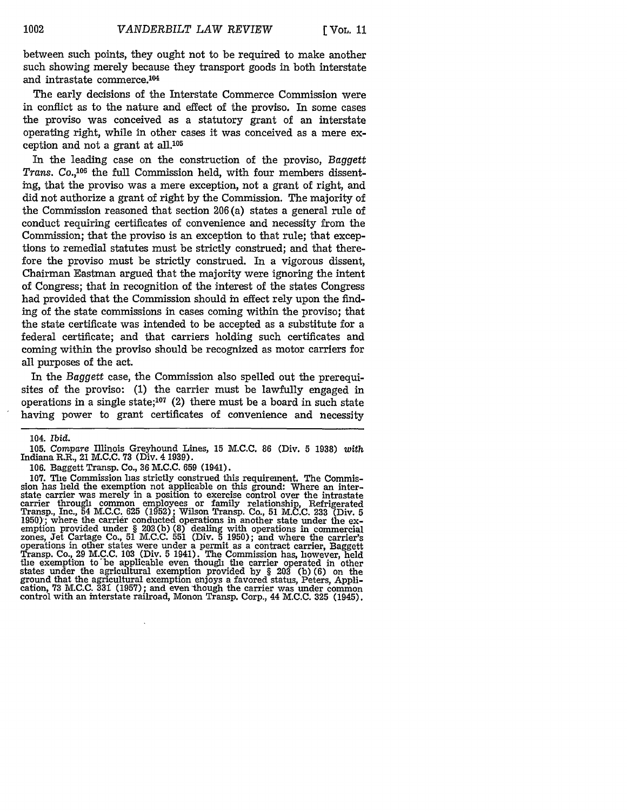between such points, they ought not to be required to make another such showing merely because they transport goods in both interstate and intrastate commerce.<sup>104</sup>

The early decisions of the Interstate Commerce Commission were in conflict as to the nature and effect of the proviso. In some cases the proviso was conceived as a statutory grant of an interstate operating right, while in other cases it was conceived as a mere exception and not a grant at all. $105$ 

In the leading case on the construction of the proviso, *Baggett* Trans. Co.,<sup>106</sup> the full Commission held, with four members dissenting, that the proviso was a mere exception, not a grant of right, and did not authorize a grant of right by the Commission. The majority of the Commission reasoned that section 206 (a) states a general rule of conduct requiring certificates of convenience and necessity from the Commission; that the proviso is an exception to that rule; that exceptions to remedial statutes must be strictly construed; and that therefore the proviso must be strictly construed. In a vigorous dissent, Chairman Eastman argued that the majority were ignoring the intent of Congress; that in recognition of the interest of the states Congress had provided that the Commission should in effect rely upon the finding of the state commissions in cases coming within the proviso; that the state certificate was intended to be accepted as a substitute for a federal certificate; and that carriers holding such certificates and coming within the proviso should be recognized as motor carriers for all purposes of the act.

In the *Baggett* case, the Commission also spelled out the prerequisites of the proviso: (1) the carrier must be lawfully engaged in operations in a single state;<sup>107</sup> (2) there must be a board in such state having power to grant certificates of convenience and necessity

106. Baggett Transp. Co., **36** M.C.C. 659 (1941).

107. The Commission has strictly construed this requirement. The Commission has held the exemption not applicable on this ground: Where an interstate carrier was merely in a position to exercise control over the intrastate carrier through common employees or family relationship, Refrigerated Transp., Inc., 54 **M.C.C.** 625 (1952); Wilson Transp. Co., 51 **M.C.C.** 233 (Div. 5 1950); where the carrier conducted operations in another state under the exemption provided under § 203(b) (8) dealing with operations in commercial zones, Jet Cartage Co., 51 M.C.C. 551 (Div. **5** 1950); and where the carrier's contract carrier, Baggett<br>Transp. Co., 29 M.C.C. 103 (Div. 5 1941). The Commission has, however, held<br>the exemption to be applicable even though the carrier operated in other states under the agricultural exemption provided by § **203** (b) **(6)** on the ground that the agricultural exemption enjoys a favored status, Peters, Appli- cation, 73 **M.C.C. 331** (1957); and even though the carrier was under common control with an interstate railroad, Monon Transp. Corp., 44 M.C.C. 325 (1945).

<sup>104.</sup> *Ibid.*

**<sup>105.</sup>** *Compare* Illinois Greyhound Lines, **15** M.C.C. 86 (Div. 5 **1938)** *with* Indiana R.R., 21 M.C.C. **73** (Div. 4 1939).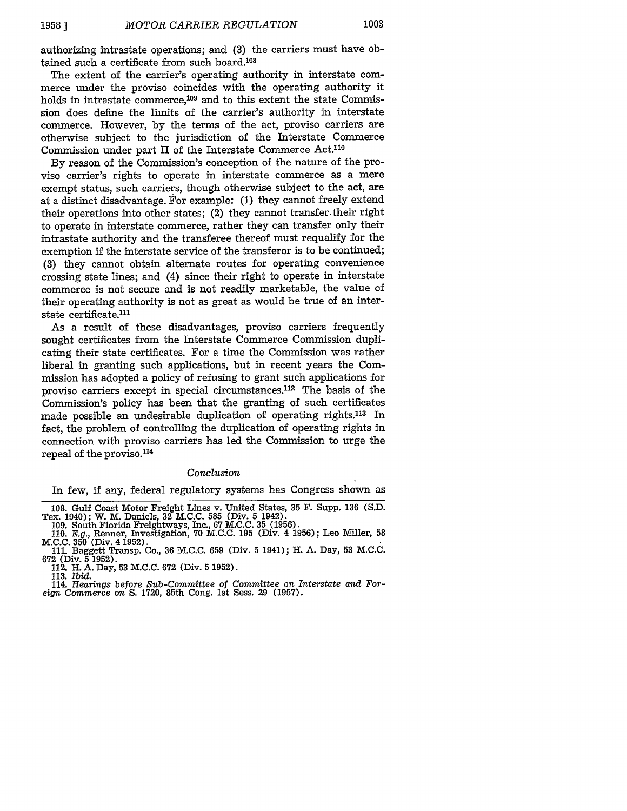authorizing intrastate operations; and **(3)** the carriers must have obtained such a certificate from such board.108

The extent of the carrier's operating authority in interstate commerce under the proviso coincides with the operating authority it holds in intrastate commerce,<sup>109</sup> and to this extent the state Commission does define the limits of the carrier's authority in interstate commerce. However, by the terms of the act, proviso carriers are otherwise subject to the jurisdiction of the Interstate Commerce Commission under part  $II$  of the Interstate Commerce Act.<sup>110</sup>

By reason of the Commission's conception of the nature of the proviso carrier's rights to operate in interstate commerce as a mere exempt status, such carriers, though otherwise subject to the act, are at a distinct disadvantage. For example: (1) they cannot freely extend their operations into other states; (2) they cannot transfer their right to operate in interstate commerce, rather they can transfer only their intrastate authority and the transferee thereof must requalify for the exemption if the interstate service of the transferor is to be continued; (3) they cannot obtain alternate routes for operating convenience crossing state lines; and (4) since their right to operate in interstate commerce is not secure and is not readily marketable, the value of their operating authority is not as great as would be true of an interstate certificate.<sup>111</sup>

As a result of these disadvantages, proviso carriers frequently sought certificates from the Interstate Commerce Commission duplicating their state certificates. For a time the Commission was rather liberal in granting such applications, but in recent years the Commission has adopted a policy of refusing to grant such applications for proviso carriers except in special circumstances.<sup>112</sup> The basis of the Commission's policy has been that the granting of such certificates made possible an undesirable duplication of operating rights.<sup>113</sup> In fact, the problem of controlling the duplication of operating rights in connection with proviso carriers has led the Commission to urge the repeal of the proviso.<sup>114</sup>

#### Conclusion

In few, if any, federal regulatory systems has Congress shown as

<sup>108.</sup> Gulf Coast Motor Freight Lines v. United States, **35** F. Supp. **136** (S.D. Tex. 1940); W. M. Daniels, **32** M.C.C. **585** (Div. 5 1942).

<sup>109.</sup> South Florida Freightways, Inc., 67 M.C.C. **35** (1956). 110. *E.g.,* Renner, Investigation, 70 M.C.C. 195 (Div. 4 1956); Leo Miller, 58 M.C.C. **350** (Div. 4 1952).

<sup>111.</sup> Baggett Transp. Co., **36** M.C.C. **659** (Div. 5 1941); H. A. Day, **53** M.C.C. **672** (Div. **5** 1952).

<sup>112.</sup> H. A. Day, 53 M.C.C. **672** (Div. **5** 1952).

<sup>113.</sup> *Ibid.*

<sup>114.</sup> *Hearings before Sub-Committee of Committee on Interstate and Foreign Commerce on* **S.** 1720, 85th Cong. 1st Sess. 29 (1957).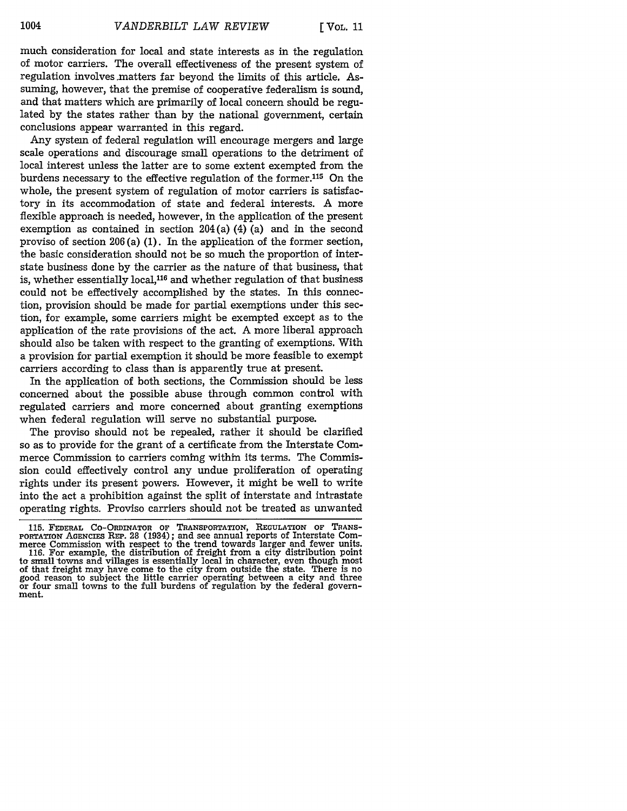ment.

much consideration for local and state interests as in the regulation of motor carriers. The overall effectiveness of the present system of regulation involves.matters far beyond the limits of this article. Assuming, however, that the premise of cooperative federalism is sound, and that matters which are primarily of local concern should be regulated by the states rather than by the national government, certain conclusions appear warranted in this regard.

Any system of federal regulation will encourage mergers and large scale operations and discourage small operations to the detriment of local interest unless the latter are to some extent exempted from the burdens necessary to the effective regulation of the former.115 On the whole, the present system of regulation of motor carriers is satisfactory in its accommodation of state and federal interests. A more flexible approach is needed, however, in the application of the present exemption as contained in section 204(a) (4) (a) and in the second proviso of section 206 (a) (1). In the application of the former section, the basic consideration should not be so much the proportion of interstate business done by the carrier as the nature of that business, that is, whether essentially local, $116$  and whether regulation of that business could not be effectively accomplished by the states. In this connection, provision should be made for partial exemptions under this section, for example, some carriers might be exempted except as to the application of the rate provisions of the act. A more liberal approach should also be taken with respect to the granting of exemptions. With a provision for partial exemption it should be more feasible to exempt carriers according to class than is apparently true at present.

In the application of both sections, the Commission should be less concerned about the possible abuse through common control with regulated carriers and more concerned about granting exemptions when federal regulation will serve no substantial purpose.

The proviso should not be repealed, rather it should be clarified so as to provide for the grant of a certificate from the Interstate Commerce Commission to carriers coming within its terms. The Commission could effectively control any undue proliferation of operating rights under its present powers. However, it might be well to write into the act a prohibition against the split of interstate and intrastate operating rights. Proviso carriers should not be treated as unwanted

<sup>115.</sup> FEDERAL CO-ORDINATOR Or TRANSPORTATION, REGULATION OF TRANS-PORTATION AGENCIES REP. 28 (1934); and see annual reports of Interstate Commerce Commission with respect to the trend towards larger and fewer units. 116. For example, the distribution of freight from a city distribution point to small towns and villages is essentially local in character, even though most of that freight may have come to the city from outside the state. There is no good reason to subject the little carrier operating between a city and three or four small towns to the full burdens of regulation by the federa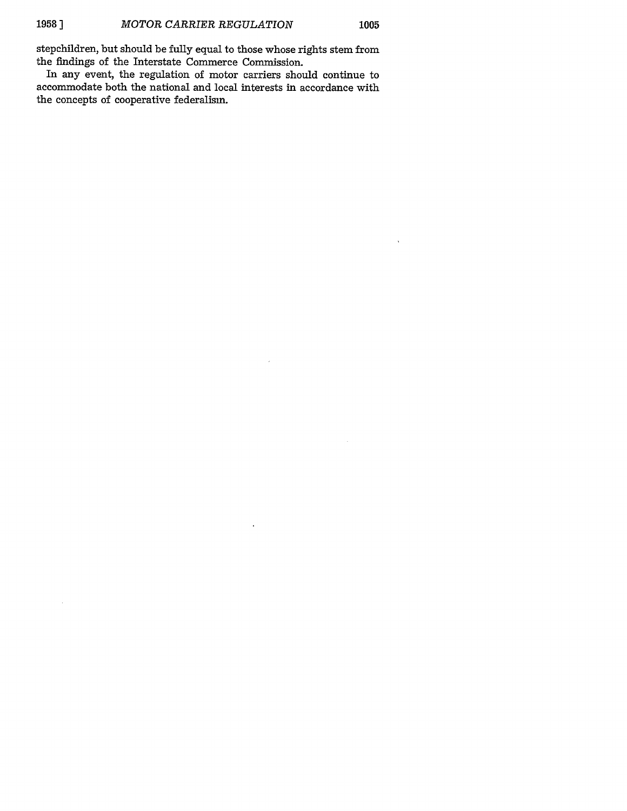$\sim$ 

stepchildren, but should be fully equal to those whose rights stem from the findings of the Interstate Commerce Commission.

In any event, the regulation of motor carriers should continue to accommodate both the national and local interests in accordance with the concepts of cooperative federalism.

 $\bar{z}$